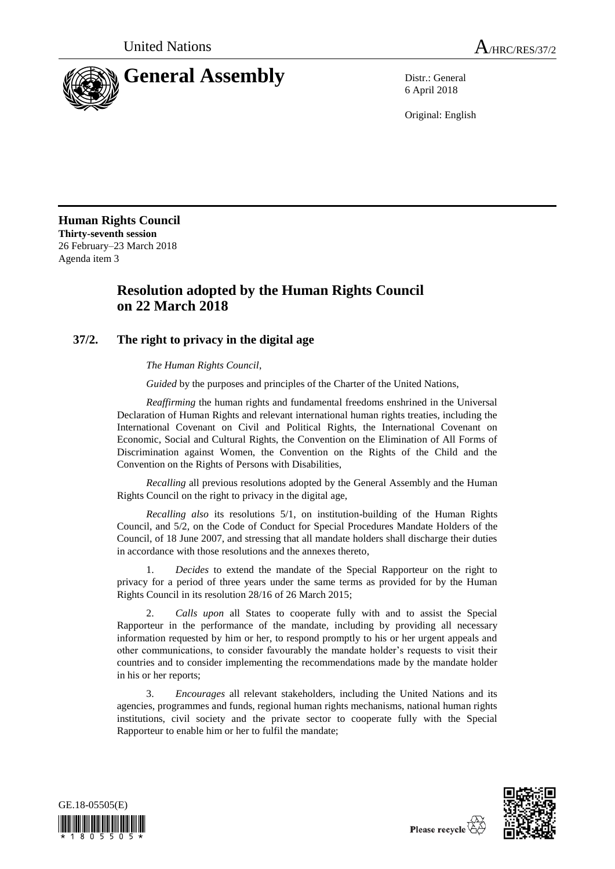

6 April 2018

Original: English

**Human Rights Council Thirty-seventh session** 26 February–23 March 2018 Agenda item 3

## **Resolution adopted by the Human Rights Council on 22 March 2018**

## **37/2. The right to privacy in the digital age**

*The Human Rights Council*,

*Guided* by the purposes and principles of the Charter of the United Nations,

*Reaffirming* the human rights and fundamental freedoms enshrined in the Universal Declaration of Human Rights and relevant international human rights treaties, including the International Covenant on Civil and Political Rights, the International Covenant on Economic, Social and Cultural Rights, the Convention on the Elimination of All Forms of Discrimination against Women, the Convention on the Rights of the Child and the Convention on the Rights of Persons with Disabilities,

*Recalling* all previous resolutions adopted by the General Assembly and the Human Rights Council on the right to privacy in the digital age,

*Recalling also* its resolutions 5/1, on institution-building of the Human Rights Council, and 5/2, on the Code of Conduct for Special Procedures Mandate Holders of the Council, of 18 June 2007, and stressing that all mandate holders shall discharge their duties in accordance with those resolutions and the annexes thereto,

1. *Decides* to extend the mandate of the Special Rapporteur on the right to privacy for a period of three years under the same terms as provided for by the Human Rights Council in its resolution 28/16 of 26 March 2015;

2. *Calls upon* all States to cooperate fully with and to assist the Special Rapporteur in the performance of the mandate, including by providing all necessary information requested by him or her, to respond promptly to his or her urgent appeals and other communications, to consider favourably the mandate holder's requests to visit their countries and to consider implementing the recommendations made by the mandate holder in his or her reports;

3. *Encourages* all relevant stakeholders, including the United Nations and its agencies, programmes and funds, regional human rights mechanisms, national human rights institutions, civil society and the private sector to cooperate fully with the Special Rapporteur to enable him or her to fulfil the mandate;